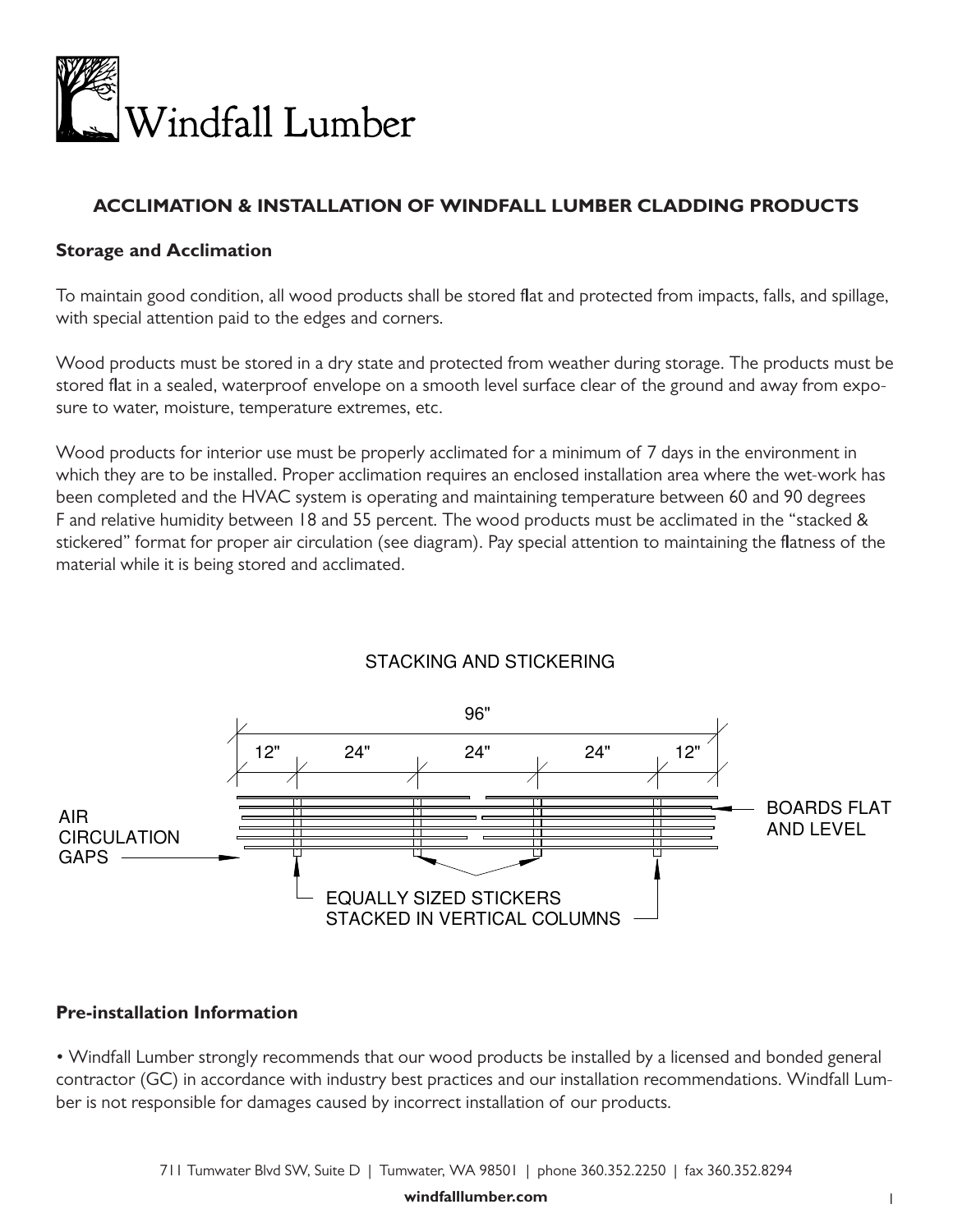

# **ACCLIMATION & INSTALLATION OF WINDFALL LUMBER CLADDING PRODUCTS**

### **Storage and Acclimation**

To maintain good condition, all wood products shall be stored flat and protected from impacts, falls, and spillage, with special attention paid to the edges and corners.

Wood products must be stored in a dry state and protected from weather during storage. The products must be stored flat in a sealed, waterproof envelope on a smooth level surface clear of the ground and away from exposure to water, moisture, temperature extremes, etc.

Wood products for interior use must be properly acclimated for a minimum of 7 days in the environment in which they are to be installed. Proper acclimation requires an enclosed installation area where the wet-work has been completed and the HVAC system is operating and maintaining temperature between 60 and 90 degrees F and relative humidity between 18 and 55 percent. The wood products must be acclimated in the "stacked & stickered" format for proper air circulation (see diagram). Pay special attention to maintaining the flatness of the material while it is being stored and acclimated.



# STACKING AND STICKERING

#### **Pre-installation Information**

• Windfall Lumber strongly recommends that our wood products be installed by a licensed and bonded general contractor (GC) in accordance with industry best practices and our installation recommendations. Windfall Lumber is not responsible for damages caused by incorrect installation of our products.

**windfalllumber.com** 1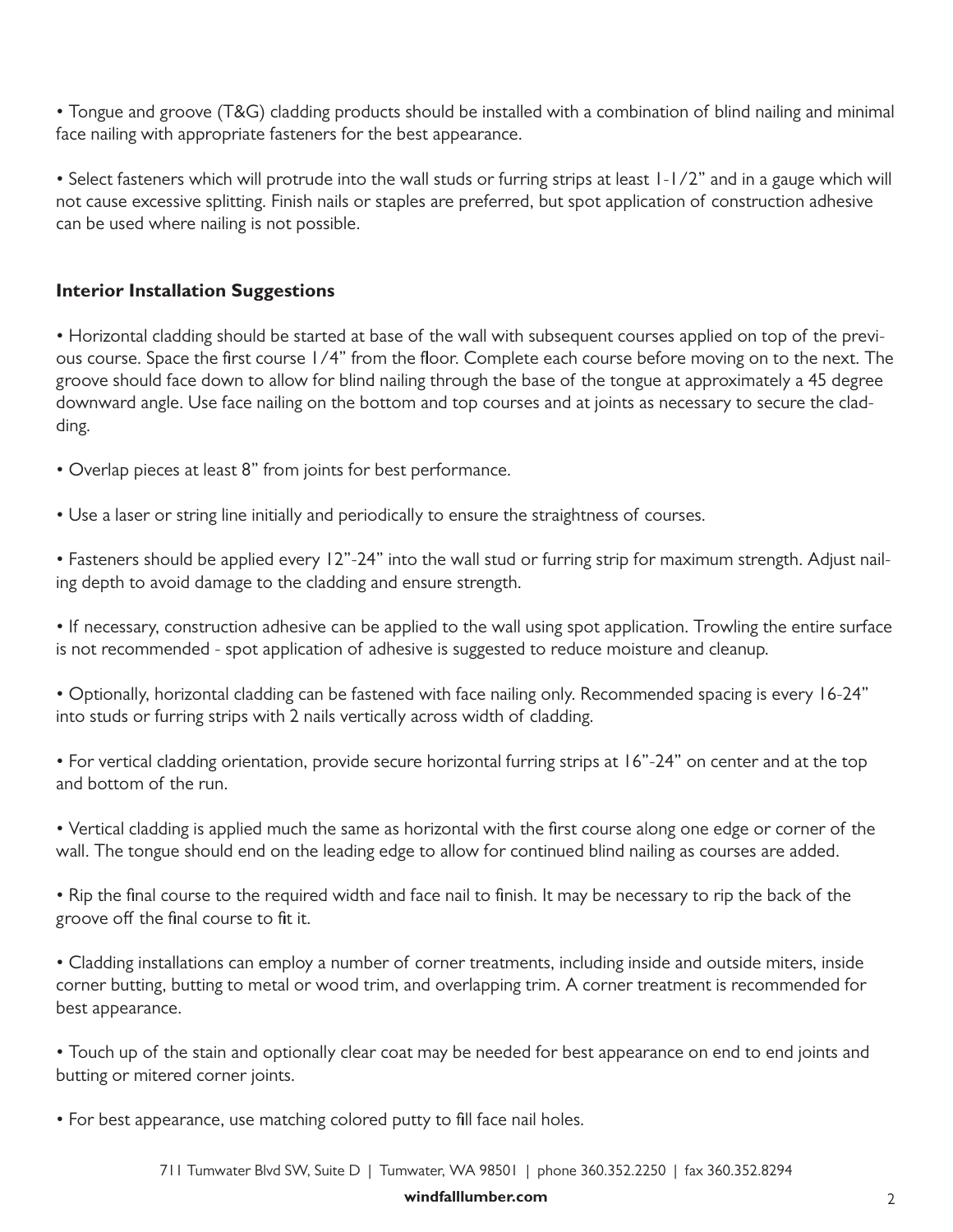• Tongue and groove (T&G) cladding products should be installed with a combination of blind nailing and minimal face nailing with appropriate fasteners for the best appearance.

• Select fasteners which will protrude into the wall studs or furring strips at least 1-1/2" and in a gauge which will not cause excessive splitting. Finish nails or staples are preferred, but spot application of construction adhesive can be used where nailing is not possible.

# **Interior Installation Suggestions**

• Horizontal cladding should be started at base of the wall with subsequent courses applied on top of the previous course. Space the first course 1/4" from the floor. Complete each course before moving on to the next. The groove should face down to allow for blind nailing through the base of the tongue at approximately a 45 degree downward angle. Use face nailing on the bottom and top courses and at joints as necessary to secure the cladding.

• Overlap pieces at least 8" from joints for best performance.

• Use a laser or string line initially and periodically to ensure the straightness of courses.

• Fasteners should be applied every 12"-24" into the wall stud or furring strip for maximum strength. Adjust nailing depth to avoid damage to the cladding and ensure strength.

• If necessary, construction adhesive can be applied to the wall using spot application. Trowling the entire surface is not recommended - spot application of adhesive is suggested to reduce moisture and cleanup.

• Optionally, horizontal cladding can be fastened with face nailing only. Recommended spacing is every 16-24" into studs or furring strips with 2 nails vertically across width of cladding.

• For vertical cladding orientation, provide secure horizontal furring strips at 16"-24" on center and at the top and bottom of the run.

• Vertical cladding is applied much the same as horizontal with the first course along one edge or corner of the wall. The tongue should end on the leading edge to allow for continued blind nailing as courses are added.

• Rip the final course to the required width and face nail to finish. It may be necessary to rip the back of the groove off the final course to fit it.

• Cladding installations can employ a number of corner treatments, including inside and outside miters, inside corner butting, butting to metal or wood trim, and overlapping trim. A corner treatment is recommended for best appearance.

• Touch up of the stain and optionally clear coat may be needed for best appearance on end to end joints and butting or mitered corner joints.

• For best appearance, use matching colored putty to fill face nail holes.

711 Tumwater Blvd SW, Suite D | Tumwater, WA 98501 | phone 360.352.2250 | fax 360.352.8294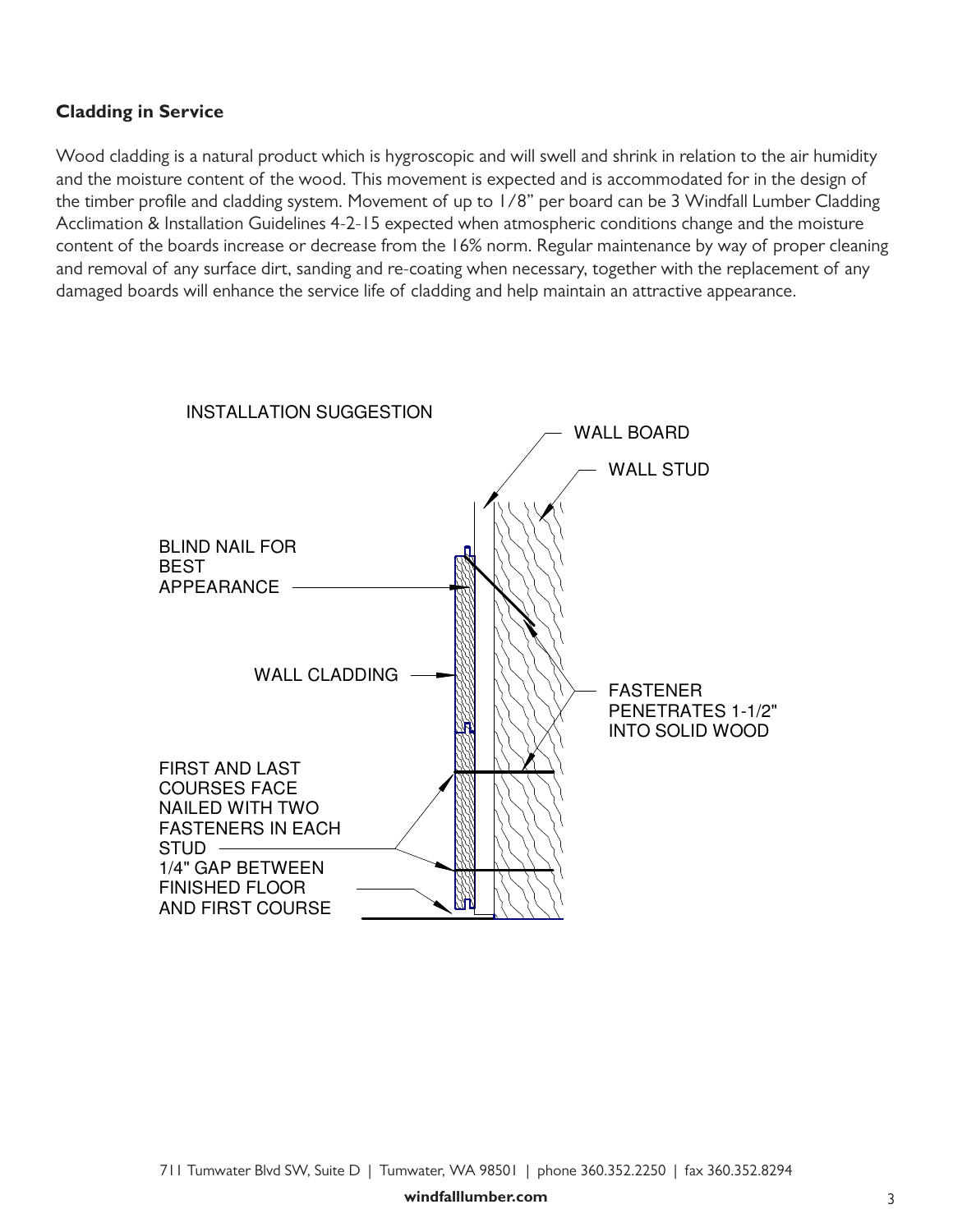## **Cladding in Service**

Wood cladding is a natural product which is hygroscopic and will swell and shrink in relation to the air humidity and the moisture content of the wood. This movement is expected and is accommodated for in the design of the timber profile and cladding system. Movement of up to 1/8" per board can be 3 Windfall Lumber Cladding Acclimation & Installation Guidelines 4-2-15 expected when atmospheric conditions change and the moisture content of the boards increase or decrease from the 16% norm. Regular maintenance by way of proper cleaning and removal of any surface dirt, sanding and re-coating when necessary, together with the replacement of any damaged boards will enhance the service life of cladding and help maintain an attractive appearance.